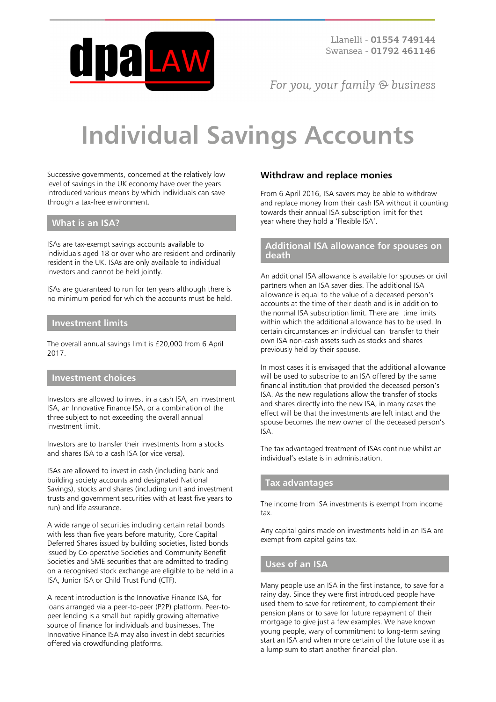

For you, your family  $\odot$  business

# **Individual Savings Accounts**

Successive governments, concerned at the relatively low level of savings in the UK economy have over the years introduced various means by which individuals can save through a tax-free environment.

#### **What is an ISA?**

ISAs are tax-exempt savings accounts available to individuals aged 18 or over who are resident and ordinarily resident in the UK. ISAs are only available to individual investors and cannot be held jointly.

ISAs are guaranteed to run for ten years although there is no minimum period for which the accounts must be held.

#### **Investment limits**

The overall annual savings limit is £20,000 from 6 April 2017.

#### **Investment choices**

Investors are allowed to invest in a cash ISA, an investment ISA, an Innovative Finance ISA, or a combination of the three subject to not exceeding the overall annual investment limit.

Investors are to transfer their investments from a stocks and shares ISA to a cash ISA (or vice versa).

ISAs are allowed to invest in cash (including bank and building society accounts and designated National Savings), stocks and shares (including unit and investment trusts and government securities with at least five years to run) and life assurance.

A wide range of securities including certain retail bonds with less than five years before maturity, Core Capital Deferred Shares issued by building societies, listed bonds issued by Co-operative Societies and Community Benefit Societies and SME securities that are admitted to trading on a recognised stock exchange are eligible to be held in a ISA, Junior ISA or Child Trust Fund (CTF).

A recent introduction is the Innovative Finance ISA, for loans arranged via a peer-to-peer (P2P) platform. Peer-topeer lending is a small but rapidly growing alternative source of finance for individuals and businesses. The Innovative Finance ISA may also invest in debt securities offered via crowdfunding platforms.

#### **Withdraw and replace monies**

From 6 April 2016, ISA savers may be able to withdraw and replace money from their cash ISA without it counting towards their annual ISA subscription limit for that year where they hold a 'Flexible ISA'.

#### **Additional ISA allowance for spouses on death**

An additional ISA allowance is available for spouses or civil partners when an ISA saver dies. The additional ISA allowance is equal to the value of a deceased person's accounts at the time of their death and is in addition to the normal ISA subscription limit. There are time limits within which the additional allowance has to be used. In certain circumstances an individual can transfer to their own ISA non-cash assets such as stocks and shares previously held by their spouse.

In most cases it is envisaged that the additional allowance will be used to subscribe to an ISA offered by the same financial institution that provided the deceased person's ISA. As the new regulations allow the transfer of stocks and shares directly into the new ISA, in many cases the effect will be that the investments are left intact and the spouse becomes the new owner of the deceased person's ISA.

The tax advantaged treatment of ISAs continue whilst an individual's estate is in administration.

#### **Tax advantages**

The income from ISA investments is exempt from income tax.

Any capital gains made on investments held in an ISA are exempt from capital gains tax.

## **Uses of an ISA**

Many people use an ISA in the first instance, to save for a rainy day. Since they were first introduced people have used them to save for retirement, to complement their pension plans or to save for future repayment of their mortgage to give just a few examples. We have known young people, wary of commitment to long-term saving start an ISA and when more certain of the future use it as a lump sum to start another financial plan.